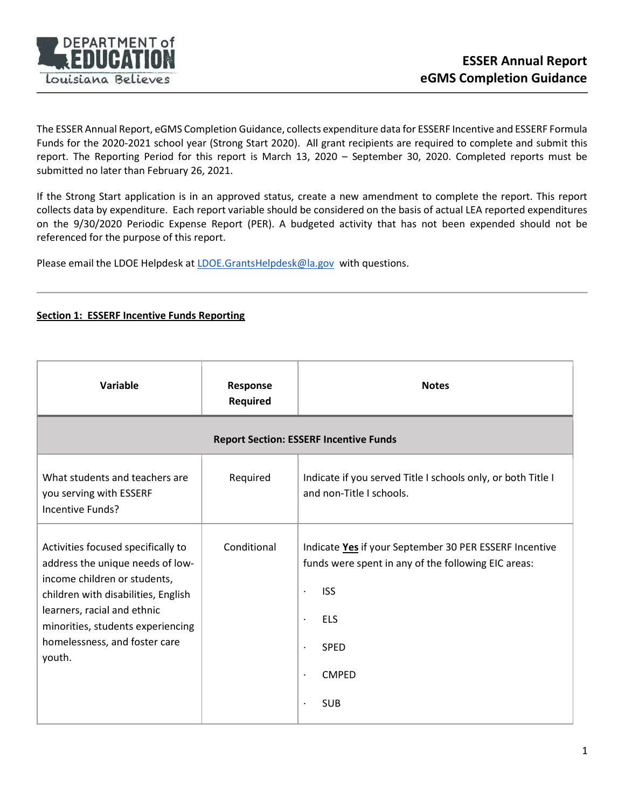

The ESSER Annual Report, eGMS Completion Guidance, collects expenditure data for ESSERF Incentive and ESSERF Formula Funds for the 2020-2021 school year (Strong Start 2020). All grant recipients are required to complete and submit this report. The Reporting Period for this report is March 13, 2020 – September 30, 2020. Completed reports must be submitted no later than February 26, 2021.

If the Strong Start application is in an approved status, create a new amendment to complete the report. This report collects data by expenditure. Each report variable should be considered on the basis of actual LEA reported expenditures on the 9/30/2020 Periodic Expense Report (PER). A budgeted activity that has not been expended should not be referenced for the purpose of this report.

Please email the LDOE Helpdesk at LDOE.GrantsHelpdesk@la.gov with questions.

## Section 1: ESSERF Incentive Funds Reporting

| Variable                                                                                                                                                                                                                                                     | Response<br><b>Required</b> | <b>Notes</b>                                                                                                                                                                                                                                            |  |  |  |
|--------------------------------------------------------------------------------------------------------------------------------------------------------------------------------------------------------------------------------------------------------------|-----------------------------|---------------------------------------------------------------------------------------------------------------------------------------------------------------------------------------------------------------------------------------------------------|--|--|--|
| <b>Report Section: ESSERF Incentive Funds</b>                                                                                                                                                                                                                |                             |                                                                                                                                                                                                                                                         |  |  |  |
| What students and teachers are<br>you serving with ESSERF<br>Incentive Funds?                                                                                                                                                                                | Required                    | Indicate if you served Title I schools only, or both Title I<br>and non-Title I schools.                                                                                                                                                                |  |  |  |
| Activities focused specifically to<br>address the unique needs of low-<br>income children or students,<br>children with disabilities, English<br>learners, racial and ethnic<br>minorities, students experiencing<br>homelessness, and foster care<br>youth. | Conditional                 | Indicate Yes if your September 30 PER ESSERF Incentive<br>funds were spent in any of the following EIC areas:<br><b>ISS</b><br>$\bullet$<br><b>ELS</b><br>$\bullet$<br><b>SPED</b><br>$\bullet$<br><b>CMPED</b><br>$\bullet$<br><b>SUB</b><br>$\bullet$ |  |  |  |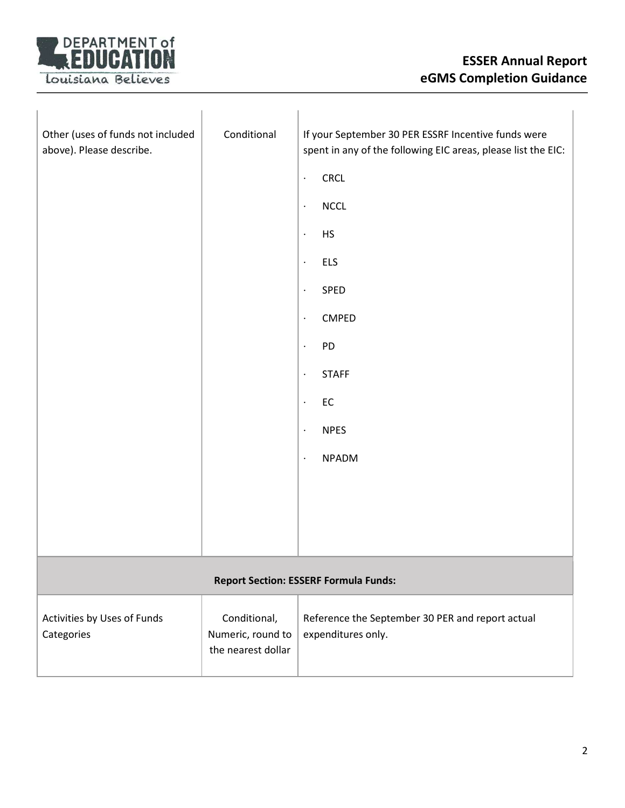

| Other (uses of funds not included<br>above). Please describe. | Conditional                                             | If your September 30 PER ESSRF Incentive funds were<br>spent in any of the following EIC areas, please list the EIC:<br>CRCL<br>$\bullet$<br><b>NCCL</b><br>$\bullet$<br><b>HS</b><br>$\bullet$<br><b>ELS</b><br>$\bullet$<br>SPED<br>$\bullet$<br><b>CMPED</b><br>$\blacksquare$<br>PD<br>$\bullet$<br><b>STAFF</b><br>$\cdot$<br>${\sf EC}$<br>$\blacksquare$<br><b>NPES</b><br>$\bullet$<br><b>NPADM</b><br>$\blacksquare$ |  |  |
|---------------------------------------------------------------|---------------------------------------------------------|-------------------------------------------------------------------------------------------------------------------------------------------------------------------------------------------------------------------------------------------------------------------------------------------------------------------------------------------------------------------------------------------------------------------------------|--|--|
| <b>Report Section: ESSERF Formula Funds:</b>                  |                                                         |                                                                                                                                                                                                                                                                                                                                                                                                                               |  |  |
|                                                               |                                                         |                                                                                                                                                                                                                                                                                                                                                                                                                               |  |  |
| Activities by Uses of Funds<br>Categories                     | Conditional,<br>Numeric, round to<br>the nearest dollar | Reference the September 30 PER and report actual<br>expenditures only.                                                                                                                                                                                                                                                                                                                                                        |  |  |